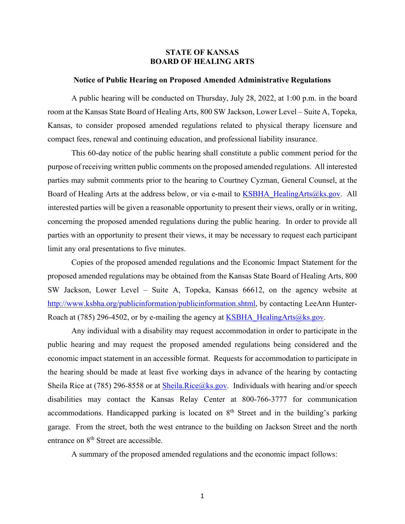#### **STATE OF KANSAS BOARD OF HEALING ARTS**

#### **Notice of Public Hearing on Proposed Amended Administrative Regulations**

A public hearing will be conducted on Thursday, July 28, 2022, at 1:00 p.m. in the board room at the Kansas State Board of Healing Arts, 800 SW Jackson, Lower Level – Suite A, Topeka, Kansas, to consider proposed amended regulations related to physical therapy licensure and compact fees, renewal and continuing education, and professional liability insurance.

 This 60-day notice of the public hearing shall constitute a public comment period for the purpose of receiving written public comments on the proposed amended regulations. All interested parties may submit comments prior to the hearing to Courtney Cyzman, General Counsel, at the Board of Healing Arts at the address below, or via e-mail to KSBHA\_HealingArts@ks.gov. All interested parties will be given a reasonable opportunity to present their views, orally or in writing, concerning the proposed amended regulations during the public hearing. In order to provide all parties with an opportunity to present their views, it may be necessary to request each participant limit any oral presentations to five minutes.

 Copies of the proposed amended regulations and the Economic Impact Statement for the proposed amended regulations may be obtained from the Kansas State Board of Healing Arts, 800 SW Jackson, Lower Level – Suite A, Topeka, Kansas 66612, on the agency website at http://www.ksbha.org/publicinformation/publicinformation.shtml, by contacting LeeAnn Hunter-Roach at (785) 296-4502, or by e-mailing the agency at KSBHA\_HealingArts@ks.gov.

 Any individual with a disability may request accommodation in order to participate in the public hearing and may request the proposed amended regulations being considered and the economic impact statement in an accessible format. Requests for accommodation to participate in the hearing should be made at least five working days in advance of the hearing by contacting Sheila Rice at (785) 296-8558 or at Sheila.Rice@ks.gov. Individuals with hearing and/or speech disabilities may contact the Kansas Relay Center at 800-766-3777 for communication accommodations. Handicapped parking is located on  $8<sup>th</sup>$  Street and in the building's parking garage. From the street, both the west entrance to the building on Jackson Street and the north entrance on 8<sup>th</sup> Street are accessible.

A summary of the proposed amended regulations and the economic impact follows: